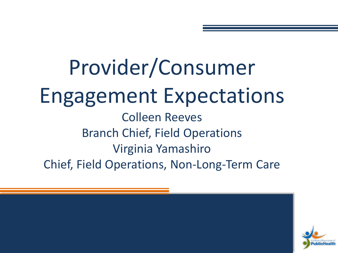Provider/Consumer Engagement Expectations Colleen Reeves Branch Chief, Field Operations Virginia Yamashiro Chief, Field Operations, Non-Long-Term Care

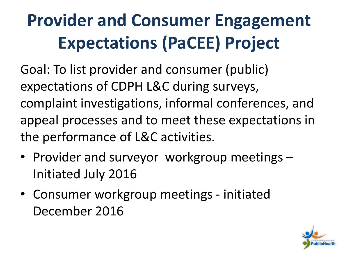## **Provider and Consumer Engagement Expectations (PaCEE) Project**

Goal: To list provider and consumer (public) expectations of CDPH L&C during surveys, complaint investigations, informal conferences, and appeal processes and to meet these expectations in the performance of L&C activities.

- Provider and surveyor workgroup meetings Initiated July 2016
- Consumer workgroup meetings initiated December 2016

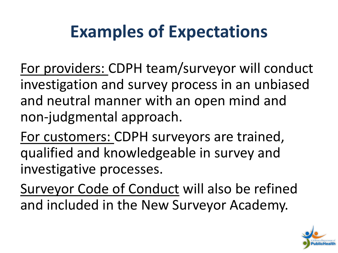## **Examples of Expectations**

For providers: CDPH team/surveyor will conduct investigation and survey process in an unbiased and neutral manner with an open mind and non-judgmental approach.

For customers: CDPH surveyors are trained, qualified and knowledgeable in survey and investigative processes.

Surveyor Code of Conduct will also be refined and included in the New Surveyor Academy.